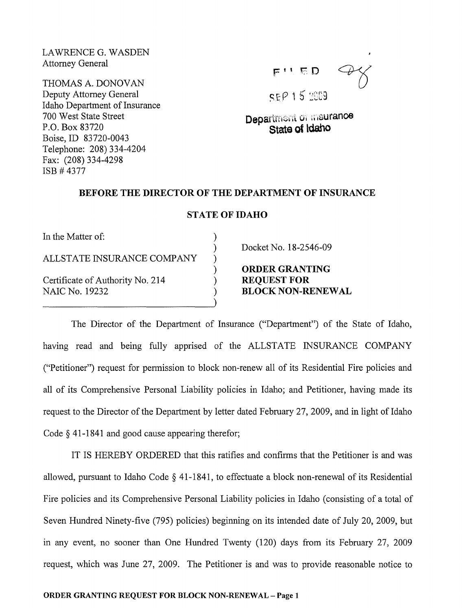LAWRENCE G. WASDEN Attorney General

THOMAS A. DONOVAN Deputy Attorney General Idaho Department of Insurance 700 West State Street P.O. Box 83720 Boise,ID 83720-0043 Telephone: 208) 334-4204 Fax: (208) 334-4298 ISB # 4377

FUED SEP 15 2009

Department of maurance **State ot ldaho** 

#### BEFORE THE DIRECTOR OF THE DEPARTMENT OF INSURANCE

### STATE OF IDAHO

)

)

)

In the Matter of:

ALLSTATE INSURANCE COMPANY )

Certificate of Authority No. 214 ) NAIC No. 19232 )

Docket No. 18-2546-09

## ORDER GRANTING REQUEST FOR BLOCK NON-RENEWAL

The Director of the Department of Insurance ("Department") of the State of Idaho, having read and being fully apprised of the ALLSTATE INSURANCE COMPANY ("Petitioner") request for permission to block non-renew all of its Residential Fire policies and all of its Comprehensive Personal Liability policies in Idaho; and Petitioner, having made its request to the Director of the Department by letter dated February 27, 2009, and in light of Idaho Code § 41-1841 and good cause appearing therefor;

IT IS HEREBY ORDERED that this ratifies and confirms that the Petitioner is and was allowed, pursuant to Idaho Code § 41-1841, to effectuate a block non-renewal of its Residential Fire policies and its Comprehensive Personal Liability policies in Idaho (consisting of a total of Seven Hundred Ninety-five (795) policies) beginning on its intended date of July 20, 2009, but in any event, no sooner than One Hundred Twenty (120) days from its February 27, 2009 request, which was June 27, 2009. The Petitioner is and was to provide reasonable notice to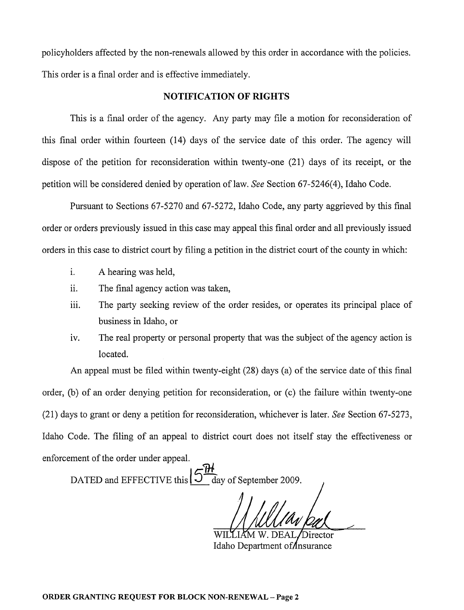policyholders affected by the non-renewals allowed by this order in accordance with the policies. This order is a final order and is effective immediately.

#### NOTIFICATION OF RIGHTS

This is a final order of the agency. Any party may file a motion for reconsideration of this final order within fourteen (14) days of the service date of this order. The agency will dispose of the petition for reconsideration within twenty-one (21) days of its receipt, or the petition will be considered denied by operation oflaw. *See* Section 67-5246(4), Idaho Code.

Pursuant to Sections 67-5270 and 67-5272, Idaho Code, any party aggrieved by this final order or orders previously issued in this case may appeal this final order and all previously issued orders in this case to district court by filing a petition in the district court of the county in which:

- i. A hearing was held,
- ii. The final agency action was taken,
- iii. The party seeking review of the order resides, or operates its principal place of business in Idaho, or
- iv. The real property or personal property that was the subject of the agency action is located.

An appeal must be filed within twenty-eight (28) days (a) of the service date of this final order, (b) of an order denying petition for reconsideration, or (c) the failure within twenty-one (21) days to grant or deny a petition for reconsideration, whichever is later. *See* Section 67-5273, Idaho Code. The filing of an appeal to district court does not itself stay the effectiveness or enforcement of the order under appeal.

DATED and EFFECTIVE this  $5 \frac{H}{100}$  day of September 2009.

**WILLIAM** irector Idaho Department of  $\Lambda$ nsurance